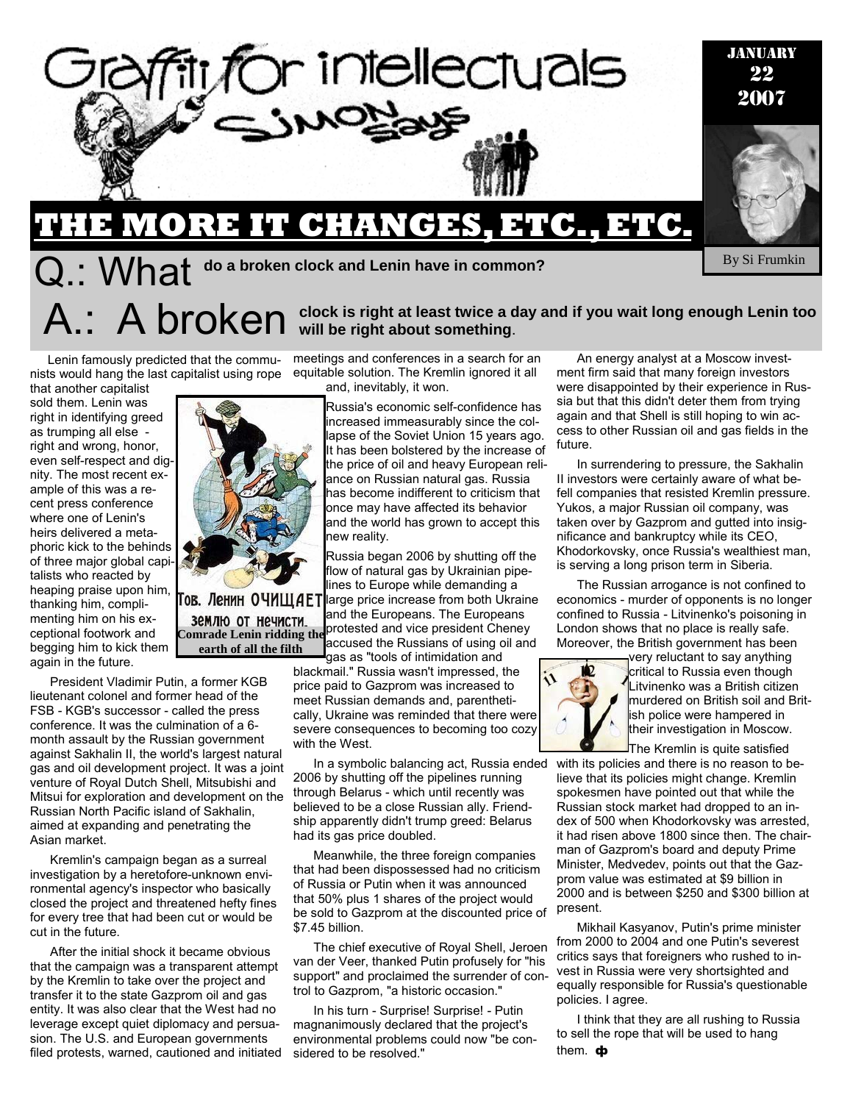

# **THE MORE IT CHANGES, ETC., ETC.**   ${\bf Q}$  : What <sup>do a broken clock and Lenin have in common?</sup>

By Si Frumkin

#### Lenin famously predicted that the communists would hang the last capitalist using rope equitable solution. The Kremlin ignored it all

that another capitalist sold them. Lenin was right in identifying greed as trumping all else right and wrong, honor, even self-respect and dignity. The most recent example of this was a recent press conference where one of Lenin's heirs delivered a metaphoric kick to the behinds of three major global capitalists who reacted by heaping praise upon him, thanking him, complimenting him on his exceptional footwork and begging him to kick them again in the future.

President Vladimir Putin, a former KGB lieutenant colonel and former head of the FSB - KGB's successor - called the press conference. It was the culmination of a 6 month assault by the Russian government against Sakhalin II, the world's largest natural gas and oil development project. It was a joint venture of Royal Dutch Shell, Mitsubishi and Mitsui for exploration and development on the Russian North Pacific island of Sakhalin, aimed at expanding and penetrating the Asian market.

Kremlin's campaign began as a surreal investigation by a heretofore-unknown environmental agency's inspector who basically closed the project and threatened hefty fines for every tree that had been cut or would be cut in the future.

After the initial shock it became obvious that the campaign was a transparent attempt by the Kremlin to take over the project and transfer it to the state Gazprom oil and gas entity. It was also clear that the West had no leverage except quiet diplomacy and persuasion. The U.S. and European governments filed protests, warned, cautioned and initiated



ов. Ленин ОЧИЩАЕТ землю от нечисти. **earth of all the filth** 

meetings and conferences in a search for an

A: A broken will be right at least twice a day and if you wait long enough Lenin too **A:** A broken will be right about something.

and, inevitably, it won.

Russia's economic self-confidence has increased immeasurably since the collapse of the Soviet Union 15 years ago. It has been bolstered by the increase of the price of oil and heavy European reliance on Russian natural gas. Russia has become indifferent to criticism that once may have affected its behavior and the world has grown to accept this new reality.

Russia began 2006 by shutting off the flow of natural gas by Ukrainian pipelines to Europe while demanding a large price increase from both Ukraine and the Europeans. The Europeans **Common of the field in a protested and vice president Cheney Comrade Lenin ridding the** accused the Russians of using oil and gas as "tools of intimidation and

blackmail." Russia wasn't impressed, the price paid to Gazprom was increased to meet Russian demands and, parenthetically, Ukraine was reminded that there were severe consequences to becoming too cozy with the West.

In a symbolic balancing act, Russia ended 2006 by shutting off the pipelines running through Belarus - which until recently was believed to be a close Russian ally. Friendship apparently didn't trump greed: Belarus had its gas price doubled.

Meanwhile, the three foreign companies that had been dispossessed had no criticism of Russia or Putin when it was announced that 50% plus 1 shares of the project would be sold to Gazprom at the discounted price of \$7.45 billion.

The chief executive of Royal Shell, Jeroen van der Veer, thanked Putin profusely for "his support" and proclaimed the surrender of control to Gazprom, "a historic occasion."

In his turn - Surprise! Surprise! - Putin magnanimously declared that the project's environmental problems could now "be considered to be resolved."

An energy analyst at a Moscow investment firm said that many foreign investors were disappointed by their experience in Russia but that this didn't deter them from trying again and that Shell is still hoping to win access to other Russian oil and gas fields in the future.

In surrendering to pressure, the Sakhalin II investors were certainly aware of what befell companies that resisted Kremlin pressure. Yukos, a major Russian oil company, was taken over by Gazprom and gutted into insignificance and bankruptcy while its CEO, Khodorkovsky, once Russia's wealthiest man, is serving a long prison term in Siberia.

The Russian arrogance is not confined to economics - murder of opponents is no longer confined to Russia - Litvinenko's poisoning in London shows that no place is really safe. Moreover, the British government has been



very reluctant to say anything critical to Russia even though Litvinenko was a British citizen murdered on British soil and British police were hampered in their investigation in Moscow.

The Kremlin is quite satisfied

with its policies and there is no reason to believe that its policies might change. Kremlin spokesmen have pointed out that while the Russian stock market had dropped to an index of 500 when Khodorkovsky was arrested, it had risen above 1800 since then. The chairman of Gazprom's board and deputy Prime Minister, Medvedev, points out that the Gazprom value was estimated at \$9 billion in 2000 and is between \$250 and \$300 billion at present.

Mikhail Kasyanov, Putin's prime minister from 2000 to 2004 and one Putin's severest critics says that foreigners who rushed to invest in Russia were very shortsighted and equally responsible for Russia's questionable policies. I agree.

I think that they are all rushing to Russia to sell the rope that will be used to hang them.  $\Phi$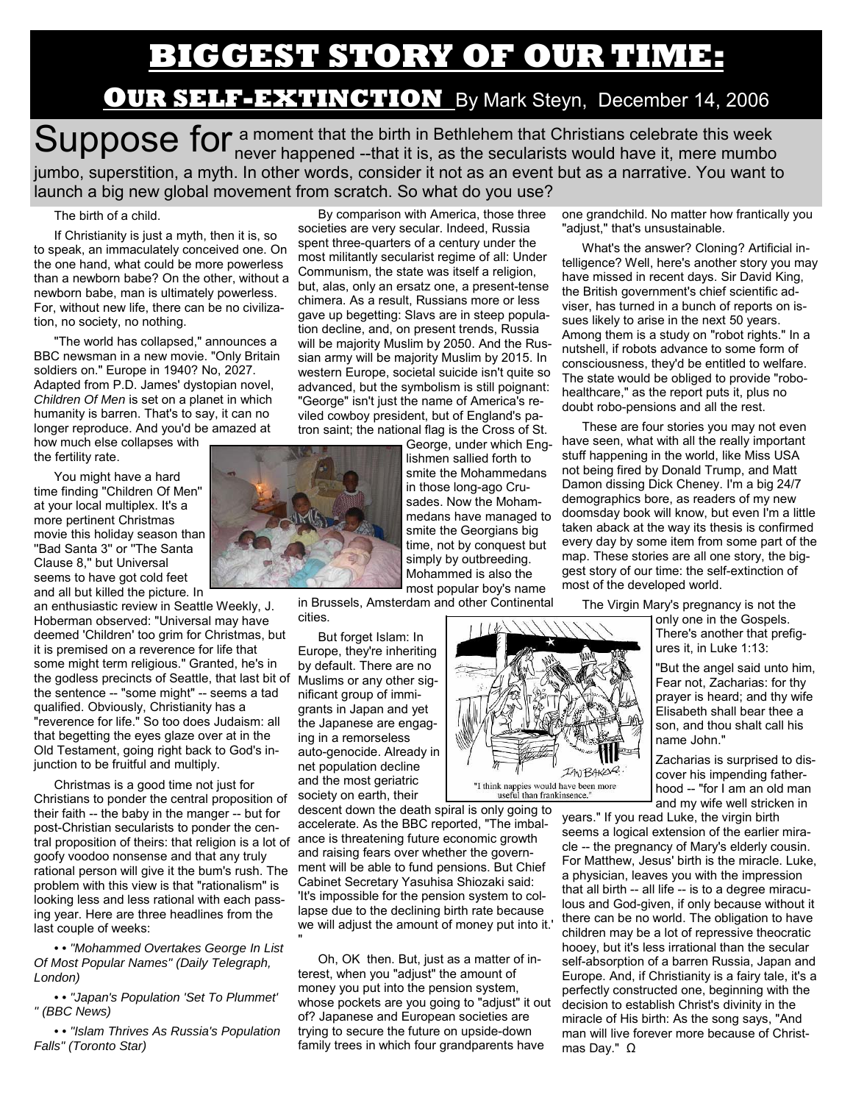## **BIGGEST STORY OF OUR TIME:**

### **OUR SELF-EXTINCTION** By Mark Steyn, December 14, 2006

Suppose for a moment that the birth in Bethlehem that Christians celebrate this week<br>Suppose for a moment that it is, as the secularists would have it, mere mumbo jumbo, superstition, a myth. In other words, consider it not as an event but as a narrative. You want to launch a big new global movement from scratch. So what do you use?

#### The birth of a child.

If Christianity is just a myth, then it is, so to speak, an immaculately conceived one. On the one hand, what could be more powerless than a newborn babe? On the other, without a newborn babe, man is ultimately powerless. For, without new life, there can be no civilization, no society, no nothing.

"The world has collapsed," announces a BBC newsman in a new movie. "Only Britain soldiers on." Europe in 1940? No, 2027. Adapted from P.D. James' dystopian novel, *Children Of Men* is set on a planet in which humanity is barren. That's to say, it can no longer reproduce. And you'd be amazed at

how much else collapses with the fertility rate.

You might have a hard time finding ''Children Of Men'' at your local multiplex. It's a more pertinent Christmas movie this holiday season than ''Bad Santa 3'' or ''The Santa Clause 8,'' but Universal seems to have got cold feet and all but killed the picture. In

an enthusiastic review in Seattle Weekly, J. Hoberman observed: "Universal may have deemed 'Children' too grim for Christmas, but it is premised on a reverence for life that some might term religious." Granted, he's in the godless precincts of Seattle, that last bit of Muslims or any other sigthe sentence -- "some might" -- seems a tad qualified. Obviously, Christianity has a "reverence for life." So too does Judaism: all that begetting the eyes glaze over at in the Old Testament, going right back to God's injunction to be fruitful and multiply.

Christmas is a good time not just for Christians to ponder the central proposition of their faith -- the baby in the manger -- but for post-Christian secularists to ponder the central proposition of theirs: that religion is a lot of goofy voodoo nonsense and that any truly rational person will give it the bum's rush. The problem with this view is that "rationalism" is looking less and less rational with each passing year. Here are three headlines from the last couple of weeks:

*• • "Mohammed Overtakes George In List Of Most Popular Names" (Daily Telegraph, London)* 

*• • "Japan's Population 'Set To Plummet' " (BBC News)* 

*• • "Islam Thrives As Russia's Population Falls" (Toronto Star)* 

By comparison with America, those three societies are very secular. Indeed, Russia spent three-quarters of a century under the most militantly secularist regime of all: Under Communism, the state was itself a religion, but, alas, only an ersatz one, a present-tense chimera. As a result, Russians more or less gave up begetting: Slavs are in steep population decline, and, on present trends, Russia will be majority Muslim by 2050. And the Russian army will be majority Muslim by 2015. In western Europe, societal suicide isn't quite so advanced, but the symbolism is still poignant: "George" isn't just the name of America's reviled cowboy president, but of England's patron saint; the national flag is the Cross of St.

George, under which Englishmen sallied forth to smite the Mohammedans in those long-ago Crusades. Now the Mohammedans have managed to smite the Georgians big time, not by conquest but simply by outbreeding. Mohammed is also the most popular boy's name

in Brussels, Amsterdam and other Continental cities.

But forget Islam: In Europe, they're inheriting by default. There are no nificant group of immigrants in Japan and yet the Japanese are engaging in a remorseless auto-genocide. Already in net population decline and the most geriatric society on earth, their

descent down the death spiral is only going to accelerate. As the BBC reported, "The imbalance is threatening future economic growth and raising fears over whether the government will be able to fund pensions. But Chief Cabinet Secretary Yasuhisa Shiozaki said: 'It's impossible for the pension system to collapse due to the declining birth rate because we will adjust the amount of money put into it.' "

Oh, OK then. But, just as a matter of interest, when you "adjust" the amount of money you put into the pension system, whose pockets are you going to "adjust" it out of? Japanese and European societies are trying to secure the future on upside-down family trees in which four grandparents have

one grandchild. No matter how frantically you "adjust," that's unsustainable.

What's the answer? Cloning? Artificial intelligence? Well, here's another story you may have missed in recent days. Sir David King, the British government's chief scientific adviser, has turned in a bunch of reports on issues likely to arise in the next 50 years. Among them is a study on "robot rights." In a nutshell, if robots advance to some form of consciousness, they'd be entitled to welfare. The state would be obliged to provide "robohealthcare," as the report puts it, plus no doubt robo-pensions and all the rest.

These are four stories you may not even have seen, what with all the really important stuff happening in the world, like Miss USA not being fired by Donald Trump, and Matt Damon dissing Dick Cheney. I'm a big 24/7 demographics bore, as readers of my new doomsday book will know, but even I'm a little taken aback at the way its thesis is confirmed every day by some item from some part of the map. These stories are all one story, the biggest story of our time: the self-extinction of most of the developed world.

The Virgin Mary's pregnancy is not the

IANBAKOR:

"I think nappies would have been more<br>useful than frankinsence."

only one in the Gospels. There's another that prefigures it, in Luke 1:13:

"But the angel said unto him, Fear not, Zacharias: for thy prayer is heard; and thy wife Elisabeth shall bear thee a son, and thou shalt call his name John."

Zacharias is surprised to discover his impending fatherhood -- "for I am an old man and my wife well stricken in

years." If you read Luke, the virgin birth seems a logical extension of the earlier miracle -- the pregnancy of Mary's elderly cousin. For Matthew, Jesus' birth is the miracle. Luke, a physician, leaves you with the impression that all birth -- all life -- is to a degree miraculous and God-given, if only because without it there can be no world. The obligation to have children may be a lot of repressive theocratic hooey, but it's less irrational than the secular self-absorption of a barren Russia, Japan and Europe. And, if Christianity is a fairy tale, it's a perfectly constructed one, beginning with the decision to establish Christ's divinity in the miracle of His birth: As the song says, "And man will live forever more because of Christmas Day." Ω

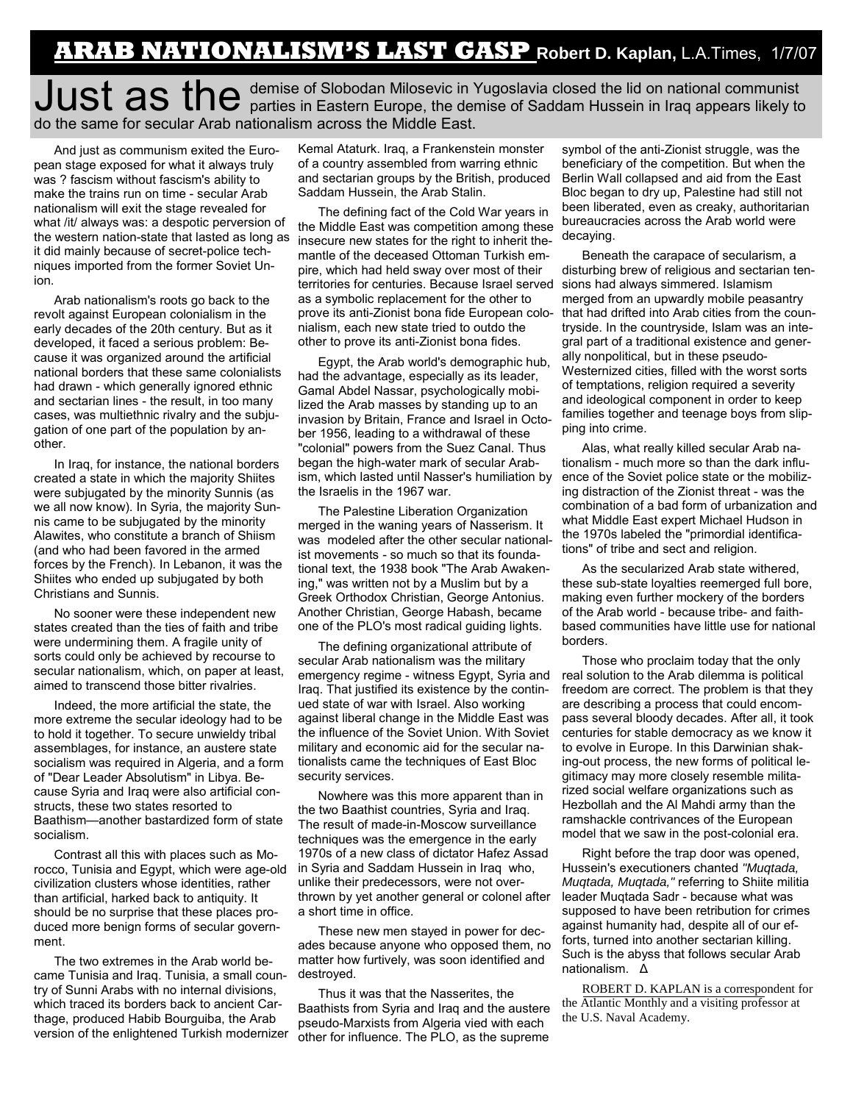### **ARAB NATIONALISM'S LAST GASP Robert D. Kaplan,** L.A.Times, 1/7/07

### Just as the <sup>demise of Slobodan Milosevic in Yugoslavia closed the lid on national communist<br>
Wist as the parties in Eastern Europe, the demise of Saddam Hussein in Iraq appears likely to</sup> do the same for secular Arab nationalism across the Middle East.

And just as communism exited the European stage exposed for what it always truly was ? fascism without fascism's ability to make the trains run on time - secular Arab nationalism will exit the stage revealed for what /it/ always was: a despotic perversion of the western nation-state that lasted as long as it did mainly because of secret-police techniques imported from the former Soviet Union.

Arab nationalism's roots go back to the revolt against European colonialism in the early decades of the 20th century. But as it developed, it faced a serious problem: Because it was organized around the artificial national borders that these same colonialists had drawn - which generally ignored ethnic and sectarian lines - the result, in too many cases, was multiethnic rivalry and the subjugation of one part of the population by another.

In Iraq, for instance, the national borders created a state in which the majority Shiites were subjugated by the minority Sunnis (as we all now know). In Syria, the majority Sunnis came to be subjugated by the minority Alawites, who constitute a branch of Shiism (and who had been favored in the armed forces by the French). In Lebanon, it was the Shiites who ended up subjugated by both Christians and Sunnis.

No sooner were these independent new states created than the ties of faith and tribe were undermining them. A fragile unity of sorts could only be achieved by recourse to secular nationalism, which, on paper at least, aimed to transcend those bitter rivalries.

Indeed, the more artificial the state, the more extreme the secular ideology had to be to hold it together. To secure unwieldy tribal assemblages, for instance, an austere state socialism was required in Algeria, and a form of "Dear Leader Absolutism" in Libya. Because Syria and Iraq were also artificial constructs, these two states resorted to Baathism—another bastardized form of state socialism.

Contrast all this with places such as Morocco, Tunisia and Egypt, which were age-old civilization clusters whose identities, rather than artificial, harked back to antiquity. It should be no surprise that these places produced more benign forms of secular government.

The two extremes in the Arab world became Tunisia and Iraq. Tunisia, a small country of Sunni Arabs with no internal divisions, which traced its borders back to ancient Carthage, produced Habib Bourguiba, the Arab version of the enlightened Turkish modernizer Kemal Ataturk. Iraq, a Frankenstein monster of a country assembled from warring ethnic and sectarian groups by the British, produced Saddam Hussein, the Arab Stalin.

The defining fact of the Cold War years in the Middle East was competition among these insecure new states for the right to inherit themantle of the deceased Ottoman Turkish empire, which had held sway over most of their territories for centuries. Because Israel served as a symbolic replacement for the other to prove its anti-Zionist bona fide European colo-that had drifted into Arab cities from the counnialism, each new state tried to outdo the other to prove its anti-Zionist bona fides.

Egypt, the Arab world's demographic hub, had the advantage, especially as its leader, Gamal Abdel Nassar, psychologically mobilized the Arab masses by standing up to an invasion by Britain, France and Israel in October 1956, leading to a withdrawal of these "colonial" powers from the Suez Canal. Thus began the high-water mark of secular Arabism, which lasted until Nasser's humiliation by the Israelis in the 1967 war.

The Palestine Liberation Organization merged in the waning years of Nasserism. It was modeled after the other secular nationalist movements - so much so that its foundational text, the 1938 book "The Arab Awakening," was written not by a Muslim but by a Greek Orthodox Christian, George Antonius. Another Christian, George Habash, became one of the PLO's most radical guiding lights.

The defining organizational attribute of secular Arab nationalism was the military emergency regime - witness Egypt, Syria and Iraq. That justified its existence by the continued state of war with Israel. Also working against liberal change in the Middle East was the influence of the Soviet Union. With Soviet military and economic aid for the secular nationalists came the techniques of East Bloc security services.

Nowhere was this more apparent than in the two Baathist countries, Syria and Iraq. The result of made-in-Moscow surveillance techniques was the emergence in the early 1970s of a new class of dictator Hafez Assad in Syria and Saddam Hussein in Iraq who, unlike their predecessors, were not overthrown by yet another general or colonel after a short time in office.

These new men stayed in power for decades because anyone who opposed them, no matter how furtively, was soon identified and destroyed.

Thus it was that the Nasserites, the Baathists from Syria and Iraq and the austere pseudo-Marxists from Algeria vied with each other for influence. The PLO, as the supreme

symbol of the anti-Zionist struggle, was the beneficiary of the competition. But when the Berlin Wall collapsed and aid from the East Bloc began to dry up, Palestine had still not been liberated, even as creaky, authoritarian bureaucracies across the Arab world were decaying.

Beneath the carapace of secularism, a disturbing brew of religious and sectarian tensions had always simmered. Islamism merged from an upwardly mobile peasantry tryside. In the countryside, Islam was an integral part of a traditional existence and generally nonpolitical, but in these pseudo-Westernized cities, filled with the worst sorts of temptations, religion required a severity and ideological component in order to keep families together and teenage boys from slipping into crime.

Alas, what really killed secular Arab nationalism - much more so than the dark influence of the Soviet police state or the mobilizing distraction of the Zionist threat - was the combination of a bad form of urbanization and what Middle East expert Michael Hudson in the 1970s labeled the "primordial identifications" of tribe and sect and religion.

As the secularized Arab state withered, these sub-state loyalties reemerged full bore, making even further mockery of the borders of the Arab world - because tribe- and faithbased communities have little use for national borders.

Those who proclaim today that the only real solution to the Arab dilemma is political freedom are correct. The problem is that they are describing a process that could encompass several bloody decades. After all, it took centuries for stable democracy as we know it to evolve in Europe. In this Darwinian shaking-out process, the new forms of political legitimacy may more closely resemble militarized social welfare organizations such as Hezbollah and the Al Mahdi army than the ramshackle contrivances of the European model that we saw in the post-colonial era.

Right before the trap door was opened, Hussein's executioners chanted *"Muqtada, Muqtada, Muqtada,"* referring to Shiite militia leader Muqtada Sadr - because what was supposed to have been retribution for crimes against humanity had, despite all of our efforts, turned into another sectarian killing. Such is the abyss that follows secular Arab nationalism. Δ

ROBERT D. KAPLAN is a correspondent for the Atlantic Monthly and a visiting professor at the U.S. Naval Academy.